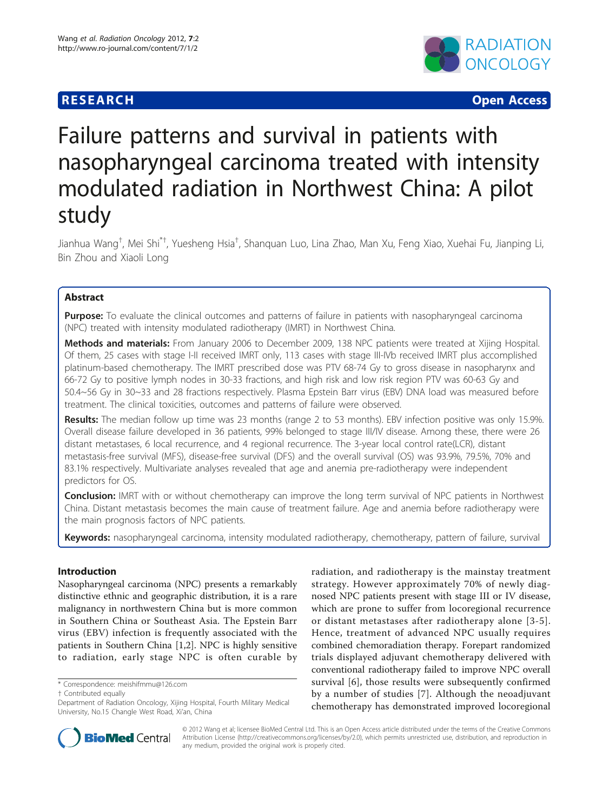# **RESEARCH CONTROL** CONTROL CONTROL CONTROL CONTROL CONTROL CONTROL CONTROL CONTROL CONTROL CONTROL CONTROL CONTROL



# Failure patterns and survival in patients with nasopharyngeal carcinoma treated with intensity modulated radiation in Northwest China: A pilot study

Jianhua Wang<sup>†</sup>, Mei Shi<sup>\*†</sup>, Yuesheng Hsia<sup>†</sup>, Shanquan Luo, Lina Zhao, Man Xu, Feng Xiao, Xuehai Fu, Jianping Li, Bin Zhou and Xiaoli Long

## Abstract

**Purpose:** To evaluate the clinical outcomes and patterns of failure in patients with nasopharyngeal carcinoma (NPC) treated with intensity modulated radiotherapy (IMRT) in Northwest China.

Methods and materials: From January 2006 to December 2009, 138 NPC patients were treated at Xijing Hospital. Of them, 25 cases with stage I-II received IMRT only, 113 cases with stage III-IVb received IMRT plus accomplished platinum-based chemotherapy. The IMRT prescribed dose was PTV 68-74 Gy to gross disease in nasopharynx and 66-72 Gy to positive lymph nodes in 30-33 fractions, and high risk and low risk region PTV was 60-63 Gy and 50.4~56 Gy in 30~33 and 28 fractions respectively. Plasma Epstein Barr virus (EBV) DNA load was measured before treatment. The clinical toxicities, outcomes and patterns of failure were observed.

Results: The median follow up time was 23 months (range 2 to 53 months). EBV infection positive was only 15.9%. Overall disease failure developed in 36 patients, 99% belonged to stage III/IV disease. Among these, there were 26 distant metastases, 6 local recurrence, and 4 regional recurrence. The 3-year local control rate(LCR), distant metastasis-free survival (MFS), disease-free survival (DFS) and the overall survival (OS) was 93.9%, 79.5%, 70% and 83.1% respectively. Multivariate analyses revealed that age and anemia pre-radiotherapy were independent predictors for OS.

**Conclusion:** IMRT with or without chemotherapy can improve the long term survival of NPC patients in Northwest China. Distant metastasis becomes the main cause of treatment failure. Age and anemia before radiotherapy were the main prognosis factors of NPC patients.

Keywords: nasopharyngeal carcinoma, intensity modulated radiotherapy, chemotherapy, pattern of failure, survival

## Introduction

Nasopharyngeal carcinoma (NPC) presents a remarkably distinctive ethnic and geographic distribution, it is a rare malignancy in northwestern China but is more common in Southern China or Southeast Asia. The Epstein Barr virus (EBV) infection is frequently associated with the patients in Southern China [[1,2\]](#page-5-0). NPC is highly sensitive to radiation, early stage NPC is often curable by

† Contributed equally

radiation, and radiotherapy is the mainstay treatment strategy. However approximately 70% of newly diagnosed NPC patients present with stage III or IV disease, which are prone to suffer from locoregional recurrence or distant metastases after radiotherapy alone [[3-5\]](#page-5-0). Hence, treatment of advanced NPC usually requires combined chemoradiation therapy. Forepart randomized trials displayed adjuvant chemotherapy delivered with conventional radiotherapy failed to improve NPC overall survival [[6\]](#page-5-0), those results were subsequently confirmed by a number of studies [[7\]](#page-5-0). Although the neoadjuvant chemotherapy has demonstrated improved locoregional



© 2012 Wang et al; licensee BioMed Central Ltd. This is an Open Access article distributed under the terms of the Creative Commons Attribution License [\(http://creativecommons.org/licenses/by/2.0](http://creativecommons.org/licenses/by/2.0)), which permits unrestricted use, distribution, and reproduction in any medium, provided the original work is properly cited.

<sup>\*</sup> Correspondence: [meishifmmu@126.com](mailto:meishifmmu@126.com)

Department of Radiation Oncology, Xijing Hospital, Fourth Military Medical University, No.15 Changle West Road, Xi'an, China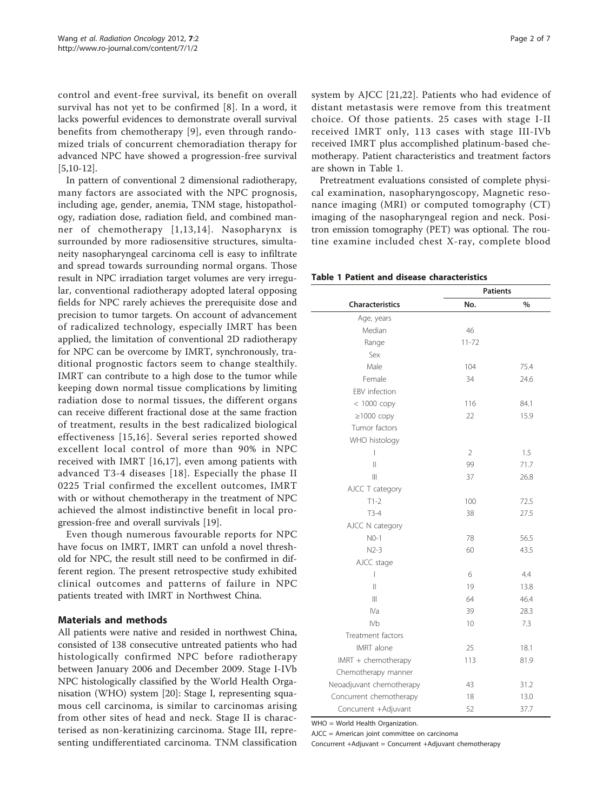<span id="page-1-0"></span>control and event-free survival, its benefit on overall survival has not yet to be confirmed [[8\]](#page-5-0). In a word, it lacks powerful evidences to demonstrate overall survival benefits from chemotherapy [[9](#page-5-0)], even through randomized trials of concurrent chemoradiation therapy for advanced NPC have showed a progression-free survival [[5,10-12\]](#page-5-0).

In pattern of conventional 2 dimensional radiotherapy, many factors are associated with the NPC prognosis, including age, gender, anemia, TNM stage, histopathology, radiation dose, radiation field, and combined manner of chemotherapy [[1](#page-5-0),[13,14\]](#page-5-0). Nasopharynx is surrounded by more radiosensitive structures, simultaneity nasopharyngeal carcinoma cell is easy to infiltrate and spread towards surrounding normal organs. Those result in NPC irradiation target volumes are very irregular, conventional radiotherapy adopted lateral opposing fields for NPC rarely achieves the prerequisite dose and precision to tumor targets. On account of advancement of radicalized technology, especially IMRT has been applied, the limitation of conventional 2D radiotherapy for NPC can be overcome by IMRT, synchronously, traditional prognostic factors seem to change stealthily. IMRT can contribute to a high dose to the tumor while keeping down normal tissue complications by limiting radiation dose to normal tissues, the different organs can receive different fractional dose at the same fraction of treatment, results in the best radicalized biological effectiveness [[15](#page-5-0),[16](#page-5-0)]. Several series reported showed excellent local control of more than 90% in NPC received with IMRT [[16](#page-5-0),[17\]](#page-5-0), even among patients with advanced T3-4 diseases [[18\]](#page-5-0). Especially the phase II 0225 Trial confirmed the excellent outcomes, IMRT with or without chemotherapy in the treatment of NPC achieved the almost indistinctive benefit in local progression-free and overall survivals [[19\]](#page-5-0).

Even though numerous favourable reports for NPC have focus on IMRT, IMRT can unfold a novel threshold for NPC, the result still need to be confirmed in different region. The present retrospective study exhibited clinical outcomes and patterns of failure in NPC patients treated with IMRT in Northwest China.

#### Materials and methods

All patients were native and resided in northwest China, consisted of 138 consecutive untreated patients who had histologically confirmed NPC before radiotherapy between January 2006 and December 2009. Stage I-IVb NPC histologically classified by the World Health Organisation (WHO) system [[20](#page-5-0)]: Stage I, representing squamous cell carcinoma, is similar to carcinomas arising from other sites of head and neck. Stage II is characterised as non-keratinizing carcinoma. Stage III, representing undifferentiated carcinoma. TNM classification Page 2 of 7

system by AJCC [[21](#page-5-0),[22\]](#page-5-0). Patients who had evidence of distant metastasis were remove from this treatment choice. Of those patients. 25 cases with stage I-II received IMRT only, 113 cases with stage III-IVb received IMRT plus accomplished platinum-based chemotherapy. Patient characteristics and treatment factors are shown in Table 1.

Pretreatment evaluations consisted of complete physical examination, nasopharyngoscopy, Magnetic resonance imaging (MRI) or computed tomography (CT) imaging of the nasopharyngeal region and neck. Positron emission tomography (PET) was optional. The routine examine included chest X-ray, complete blood

|  |  |  | Table 1 Patient and disease characteristics |
|--|--|--|---------------------------------------------|
|--|--|--|---------------------------------------------|

|                          | <b>Patients</b> |      |  |
|--------------------------|-----------------|------|--|
| <b>Characteristics</b>   | No.             | $\%$ |  |
| Age, years               |                 |      |  |
| Median                   | 46              |      |  |
| Range                    | $11 - 72$       |      |  |
| Sex                      |                 |      |  |
| Male                     | 104             | 75.4 |  |
| Female                   | 34              | 24.6 |  |
| EBV infection            |                 |      |  |
| < 1000 сору              | 116             | 84.1 |  |
| $\geq$ 1000 copy         | 22              | 15.9 |  |
| Tumor factors            |                 |      |  |
| WHO histology            |                 |      |  |
| I                        | $\overline{2}$  | 1.5  |  |
| $\mathsf{II}$            | 99              | 71.7 |  |
| Ш                        | 37              | 26.8 |  |
| AJCC T category          |                 |      |  |
| $T1-2$                   | 100             | 72.5 |  |
| $T3-4$                   | 38              | 27.5 |  |
| AJCC N category          |                 |      |  |
| $NO-1$                   | 78              | 56.5 |  |
| $N2-3$                   | 60              | 43.5 |  |
| AJCC stage               |                 |      |  |
| $\overline{\phantom{a}}$ | 6               | 4.4  |  |
| $\mathsf{II}$            | 19              | 13.8 |  |
| Ш                        | 64              | 46.4 |  |
| IVa                      | 39              | 28.3 |  |
| IV <sub>b</sub>          | 10              | 7.3  |  |
| Treatment factors        |                 |      |  |
| <b>IMRT</b> alone        | 25              | 18.1 |  |
| IMRT + chemotherapy      | 113             | 81.9 |  |
| Chemotherapy manner      |                 |      |  |
| Neoadjuvant chemotherapy | 43              | 31.2 |  |
| Concurrent chemotherapy  | 18              | 13.0 |  |
| Concurrent +Adjuvant     | 52              | 37.7 |  |

WHO = World Health Organization.

AJCC = American joint committee on carcinoma

Concurrent +Adjuvant = Concurrent +Adjuvant chemotherapy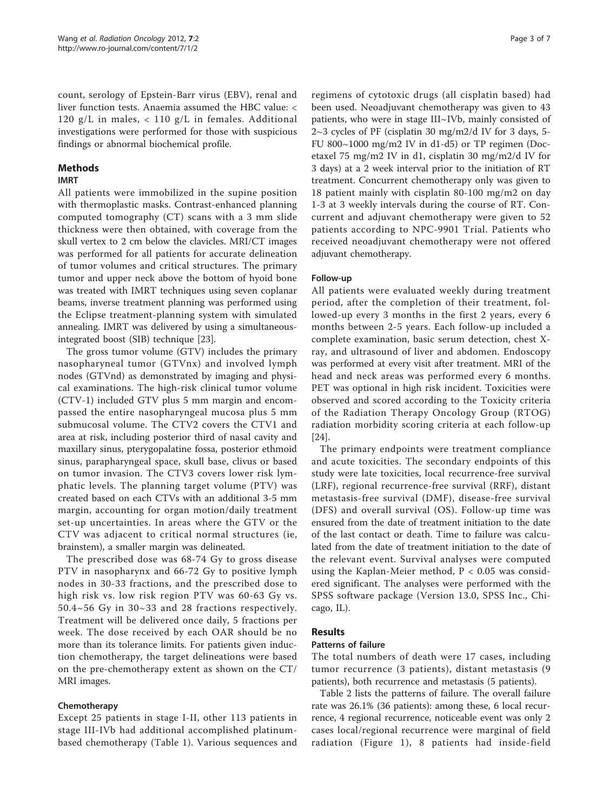count, serology of Epstein-Barr virus (EBV), renal and liver function tests. Anaemia assumed the HBC value: < 120 g/L in males, < 110 g/L in females. Additional investigations were performed for those with suspicious findings or abnormal biochemical profile.

## Methods

## IMRT

All patients were immobilized in the supine position with thermoplastic masks. Contrast-enhanced planning computed tomography (CT) scans with a 3 mm slide thickness were then obtained, with coverage from the skull vertex to 2 cm below the clavicles. MRI/CT images was performed for all patients for accurate delineation of tumor volumes and critical structures. The primary tumor and upper neck above the bottom of hyoid bone was treated with IMRT techniques using seven coplanar beams, inverse treatment planning was performed using the Eclipse treatment-planning system with simulated annealing. IMRT was delivered by using a simultaneousintegrated boost (SIB) technique [\[23\]](#page-5-0).

The gross tumor volume (GTV) includes the primary nasopharyneal tumor (GTVnx) and involved lymph nodes (GTVnd) as demonstrated by imaging and physical examinations. The high-risk clinical tumor volume (CTV-1) included GTV plus 5 mm margin and encompassed the entire nasopharyngeal mucosa plus 5 mm submucosal volume. The CTV2 covers the CTV1 and area at risk, including posterior third of nasal cavity and maxillary sinus, pterygopalatine fossa, posterior ethmoid sinus, parapharyngeal space, skull base, clivus or based on tumor invasion. The CTV3 covers lower risk lymphatic levels. The planning target volume (PTV) was created based on each CTVs with an additional 3-5 mm margin, accounting for organ motion/daily treatment set-up uncertainties. In areas where the GTV or the CTV was adjacent to critical normal structures (ie, brainstem), a smaller margin was delineated.

The prescribed dose was 68-74 Gy to gross disease PTV in nasopharynx and 66-72 Gy to positive lymph nodes in 30-33 fractions, and the prescribed dose to high risk vs. low risk region PTV was 60-63 Gy vs. 50.4~56 Gy in 30~33 and 28 fractions respectively. Treatment will be delivered once daily, 5 fractions per week. The dose received by each OAR should be no more than its tolerance limits. For patients given induction chemotherapy, the target delineations were based on the pre-chemotherapy extent as shown on the CT/ MRI images.

## Chemotherapy

Except 25 patients in stage I-II, other 113 patients in stage III-IVb had additional accomplished platinumbased chemotherapy (Table [1](#page-1-0)). Various sequences and

regimens of cytotoxic drugs (all cisplatin based) had been used. Neoadjuvant chemotherapy was given to 43 patients, who were in stage III~IVb, mainly consisted of  $2~3$  cycles of PF (cisplatin 30 mg/m2/d IV for 3 days, 5-FU 800~1000 mg/m2 IV in d1-d5) or TP regimen (Docetaxel 75 mg/m2 IV in d1, cisplatin 30 mg/m2/d IV for 3 days) at a 2 week interval prior to the initiation of RT treatment. Concurrent chemotherapy only was given to 18 patient mainly with cisplatin 80-100 mg/m2 on day 1-3 at 3 weekly intervals during the course of RT. Concurrent and adjuvant chemotherapy were given to 52 patients according to NPC-9901 Trial. Patients who received neoadjuvant chemotherapy were not offered adjuvant chemotherapy.

## Follow-up

All patients were evaluated weekly during treatment period, after the completion of their treatment, followed-up every 3 months in the first 2 years, every 6 months between 2-5 years. Each follow-up included a complete examination, basic serum detection, chest Xray, and ultrasound of liver and abdomen. Endoscopy was performed at every visit after treatment. MRI of the head and neck areas was performed every 6 months. PET was optional in high risk incident. Toxicities were observed and scored according to the Toxicity criteria of the Radiation Therapy Oncology Group (RTOG) radiation morbidity scoring criteria at each follow-up [[24\]](#page-5-0).

The primary endpoints were treatment compliance and acute toxicities. The secondary endpoints of this study were late toxicities, local recurrence-free survival (LRF), regional recurrence-free survival (RRF), distant metastasis-free survival (DMF), disease-free survival (DFS) and overall survival (OS). Follow-up time was ensured from the date of treatment initiation to the date of the last contact or death. Time to failure was calculated from the date of treatment initiation to the date of the relevant event. Survival analyses were computed using the Kaplan-Meier method,  $P < 0.05$  was considered significant. The analyses were performed with the SPSS software package (Version 13.0, SPSS Inc., Chicago, IL).

## **Results**

## Patterns of failure

The total numbers of death were 17 cases, including tumor recurrence (3 patients), distant metastasis (9 patients), both recurrence and metastasis (5 patients).

Table [2](#page-3-0) lists the patterns of failure. The overall failure rate was 26.1% (36 patients): among these, 6 local recurrence, 4 regional recurrence, noticeable event was only 2 cases local/regional recurrence were marginal of field radiation (Figure [1\)](#page-3-0), 8 patients had inside-field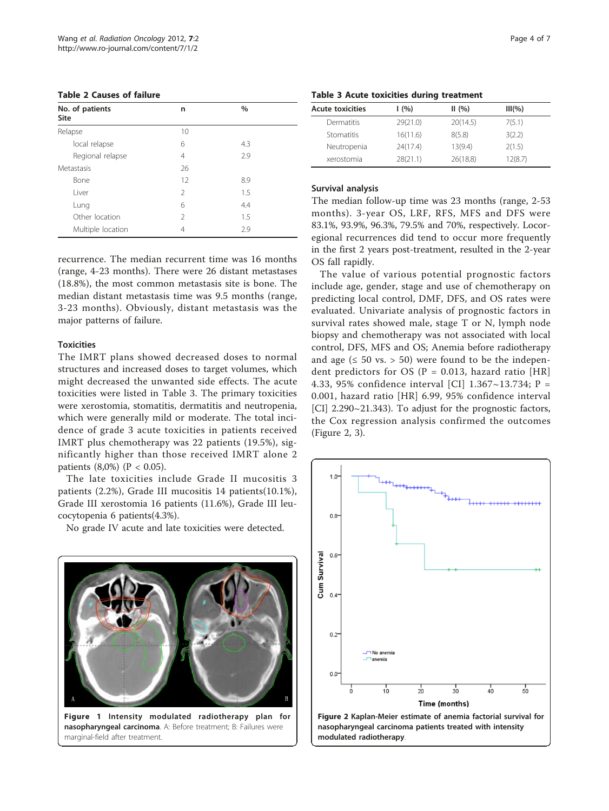<span id="page-3-0"></span>

|  |  | <b>Table 2 Causes of failure</b> |  |  |
|--|--|----------------------------------|--|--|
|--|--|----------------------------------|--|--|

| No. of patients<br>Site | n              | $\%$ |  |
|-------------------------|----------------|------|--|
| Relapse                 | 10             |      |  |
| local relapse           | 6              | 4.3  |  |
| Regional relapse        | 4              | 2.9  |  |
| Metastasis              | 26             |      |  |
| Bone                    | 12             | 8.9  |  |
| I iver                  | 2              | 1.5  |  |
| Lung                    | 6              | 4.4  |  |
| Other location          | $\mathfrak{D}$ | 1.5  |  |
| Multiple location       | 4              | 2.9  |  |

recurrence. The median recurrent time was 16 months (range, 4-23 months). There were 26 distant metastases (18.8%), the most common metastasis site is bone. The median distant metastasis time was 9.5 months (range, 3-23 months). Obviously, distant metastasis was the major patterns of failure.

#### **Toxicities**

The IMRT plans showed decreased doses to normal structures and increased doses to target volumes, which might decreased the unwanted side effects. The acute toxicities were listed in Table 3. The primary toxicities were xerostomia, stomatitis, dermatitis and neutropenia, which were generally mild or moderate. The total incidence of grade 3 acute toxicities in patients received IMRT plus chemotherapy was 22 patients (19.5%), significantly higher than those received IMRT alone 2 patients  $(8,0\%)$  (P < 0.05).

The late toxicities include Grade II mucositis 3 patients (2.2%), Grade III mucositis 14 patients(10.1%), Grade III xerostomia 16 patients (11.6%), Grade III leucocytopenia 6 patients(4.3%).

No grade IV acute and late toxicities were detected.



|  |  |  |  | Table 3 Acute toxicities during treatment |
|--|--|--|--|-------------------------------------------|
|--|--|--|--|-------------------------------------------|

| <b>Acute toxicities</b> | (96)     | II(%)    | $III(\% )$ |
|-------------------------|----------|----------|------------|
| Dermatitis              | 29(21.0) | 20(14.5) | 7(5.1)     |
| Stomatitis              | 16(11.6) | 8(5.8)   | 3(2.2)     |
| Neutropenia             | 24(17.4) | 13(9.4)  | 2(1.5)     |
| xerostomia              | 28(21.1) | 26(18.8) | 12(8.7)    |

#### Survival analysis

The median follow-up time was 23 months (range, 2-53 months). 3-year OS, LRF, RFS, MFS and DFS were 83.1%, 93.9%, 96.3%, 79.5% and 70%, respectively. Locoregional recurrences did tend to occur more frequently in the first 2 years post-treatment, resulted in the 2-year OS fall rapidly.

The value of various potential prognostic factors include age, gender, stage and use of chemotherapy on predicting local control, DMF, DFS, and OS rates were evaluated. Univariate analysis of prognostic factors in survival rates showed male, stage T or N, lymph node biopsy and chemotherapy was not associated with local control, DFS, MFS and OS; Anemia before radiotherapy and age ( $\leq 50$  vs.  $> 50$ ) were found to be the independent predictors for OS ( $P = 0.013$ , hazard ratio [HR] 4.33, 95% confidence interval [CI] 1.367~13.734; P = 0.001, hazard ratio [HR] 6.99, 95% confidence interval [CI] 2.290~21.343). To adjust for the prognostic factors, the Cox regression analysis confirmed the outcomes (Figure 2, [3\)](#page-4-0).

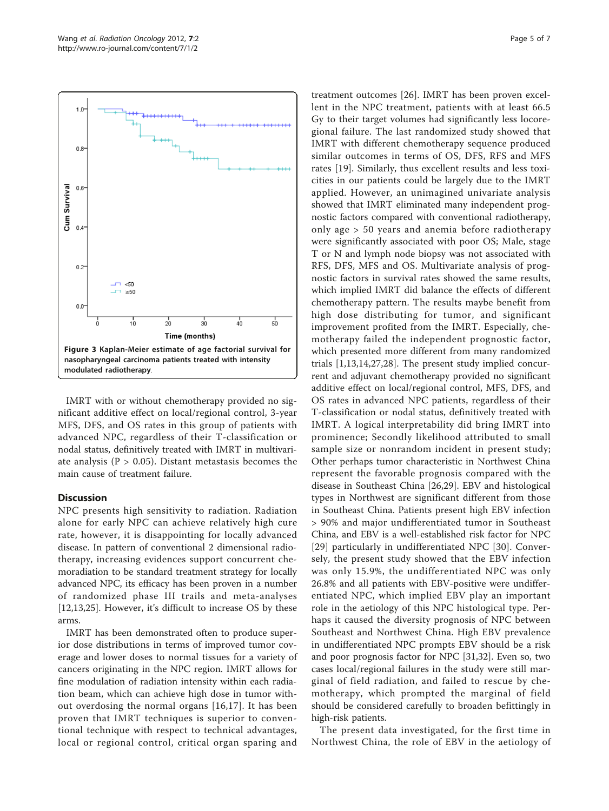<span id="page-4-0"></span>

IMRT with or without chemotherapy provided no significant additive effect on local/regional control, 3-year MFS, DFS, and OS rates in this group of patients with advanced NPC, regardless of their T-classification or nodal status, definitively treated with IMRT in multivariate analysis ( $P > 0.05$ ). Distant metastasis becomes the main cause of treatment failure.

#### **Discussion**

NPC presents high sensitivity to radiation. Radiation alone for early NPC can achieve relatively high cure rate, however, it is disappointing for locally advanced disease. In pattern of conventional 2 dimensional radiotherapy, increasing evidences support concurrent chemoradiation to be standard treatment strategy for locally advanced NPC, its efficacy has been proven in a number of randomized phase III trails and meta-analyses [[12,13,25](#page-5-0)]. However, it's difficult to increase OS by these arms.

IMRT has been demonstrated often to produce superior dose distributions in terms of improved tumor coverage and lower doses to normal tissues for a variety of cancers originating in the NPC region. IMRT allows for fine modulation of radiation intensity within each radiation beam, which can achieve high dose in tumor without overdosing the normal organs [[16,17](#page-5-0)]. It has been proven that IMRT techniques is superior to conventional technique with respect to technical advantages, local or regional control, critical organ sparing and

treatment outcomes [[26\]](#page-5-0). IMRT has been proven excellent in the NPC treatment, patients with at least 66.5 Gy to their target volumes had significantly less locoregional failure. The last randomized study showed that IMRT with different chemotherapy sequence produced similar outcomes in terms of OS, DFS, RFS and MFS rates [[19\]](#page-5-0). Similarly, thus excellent results and less toxicities in our patients could be largely due to the IMRT applied. However, an unimagined univariate analysis showed that IMRT eliminated many independent prognostic factors compared with conventional radiotherapy, only age > 50 years and anemia before radiotherapy were significantly associated with poor OS; Male, stage T or N and lymph node biopsy was not associated with RFS, DFS, MFS and OS. Multivariate analysis of prognostic factors in survival rates showed the same results, which implied IMRT did balance the effects of different chemotherapy pattern. The results maybe benefit from high dose distributing for tumor, and significant improvement profited from the IMRT. Especially, chemotherapy failed the independent prognostic factor, which presented more different from many randomized trials [[1,13,14,27,28\]](#page-5-0). The present study implied concurrent and adjuvant chemotherapy provided no significant additive effect on local/regional control, MFS, DFS, and OS rates in advanced NPC patients, regardless of their T-classification or nodal status, definitively treated with IMRT. A logical interpretability did bring IMRT into prominence; Secondly likelihood attributed to small sample size or nonrandom incident in present study; Other perhaps tumor characteristic in Northwest China represent the favorable prognosis compared with the disease in Southeast China [[26,29\]](#page-5-0). EBV and histological types in Northwest are significant different from those in Southeast China. Patients present high EBV infection > 90% and major undifferentiated tumor in Southeast China, and EBV is a well-established risk factor for NPC [[29](#page-5-0)] particularly in undifferentiated NPC [\[30](#page-5-0)]. Conversely, the present study showed that the EBV infection was only 15.9%, the undifferentiated NPC was only 26.8% and all patients with EBV-positive were undifferentiated NPC, which implied EBV play an important role in the aetiology of this NPC histological type. Perhaps it caused the diversity prognosis of NPC between Southeast and Northwest China. High EBV prevalence in undifferentiated NPC prompts EBV should be a risk and poor prognosis factor for NPC [[31,32\]](#page-6-0). Even so, two cases local/regional failures in the study were still marginal of field radiation, and failed to rescue by chemotherapy, which prompted the marginal of field should be considered carefully to broaden befittingly in high-risk patients.

The present data investigated, for the first time in Northwest China, the role of EBV in the aetiology of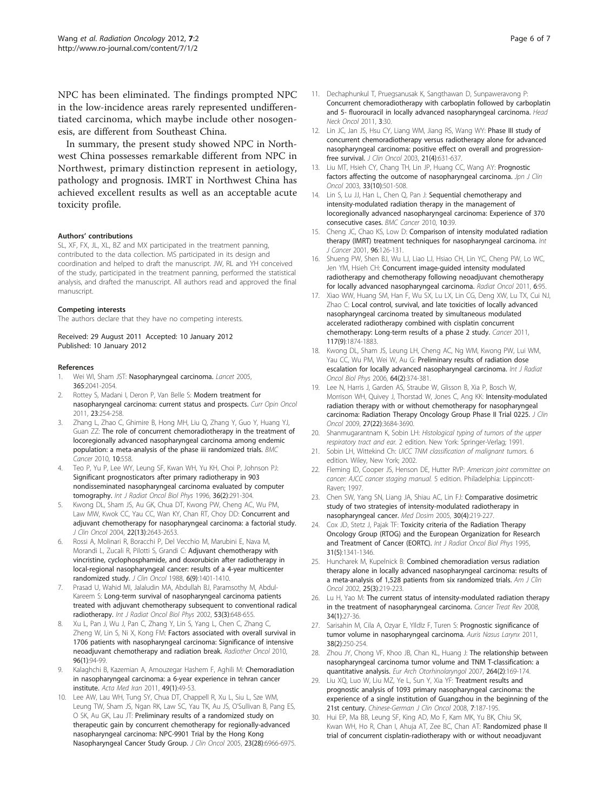<span id="page-5-0"></span>NPC has been eliminated. The findings prompted NPC in the low-incidence areas rarely represented undifferentiated carcinoma, which maybe include other nosogenesis, are different from Southeast China.

In summary, the present study showed NPC in Northwest China possesses remarkable different from NPC in Northwest, primary distinction represent in aetiology, pathology and prognosis. IMRT in Northwest China has achieved excellent results as well as an acceptable acute toxicity profile.

#### Authors' contributions

SL, XF, FX, JL, XL, BZ and MX participated in the treatment panning, contributed to the data collection. MS participated in its design and coordination and helped to draft the manuscript. JW, RL and YH conceived of the study, participated in the treatment panning, performed the statistical analysis, and drafted the manuscript. All authors read and approved the final manuscript.

#### Competing interests

The authors declare that they have no competing interests.

Received: 29 August 2011 Accepted: 10 January 2012 Published: 10 January 2012

#### References

- Wei WI, Sham JST: [Nasopharyngeal carcinoma.](http://www.ncbi.nlm.nih.gov/pubmed/15950718?dopt=Abstract) Lancet 2005, 365:2041-2054.
- Rottey S, Madani I, Deron P, Van Belle S: [Modern treatment for](http://www.ncbi.nlm.nih.gov/pubmed/21330921?dopt=Abstract) [nasopharyngeal carcinoma: current status and prospects.](http://www.ncbi.nlm.nih.gov/pubmed/21330921?dopt=Abstract) Curr Opin Oncol 2011, 23:254-258.
- 3. Zhang L, Zhao C, Ghimire B, Hong MH, Liu Q, Zhang Y, Guo Y, Huang YJ, Guan ZZ: [The role of concurrent chemoradiotherapy in the treatment of](http://www.ncbi.nlm.nih.gov/pubmed/20950416?dopt=Abstract) [locoregionally advanced nasopharyngeal carcinoma among endemic](http://www.ncbi.nlm.nih.gov/pubmed/20950416?dopt=Abstract) [population: a meta-analysis of the phase iii randomized trials.](http://www.ncbi.nlm.nih.gov/pubmed/20950416?dopt=Abstract) BMC Cancer 2010, 10:558.
- Teo P, Yu P, Lee WY, Leung SF, Kwan WH, Yu KH, Choi P, Johnson PJ: [Significant prognosticators after primary radiotherapy in 903](http://www.ncbi.nlm.nih.gov/pubmed/8892451?dopt=Abstract) [nondisseminated nasopharyngeal carcinoma evaluated by computer](http://www.ncbi.nlm.nih.gov/pubmed/8892451?dopt=Abstract) [tomography.](http://www.ncbi.nlm.nih.gov/pubmed/8892451?dopt=Abstract) Int J Radiat Oncol Biol Phys 1996, 36(2):291-304.
- Kwong DL, Sham JS, Au GK, Chua DT, Kwong PW, Cheng AC, Wu PM, Law MW, Kwok CC, Yau CC, Wan KY, Chan RT, Choy DD: [Concurrent and](http://www.ncbi.nlm.nih.gov/pubmed/15226332?dopt=Abstract) [adjuvant chemotherapy for nasopharyngeal carcinoma: a factorial study.](http://www.ncbi.nlm.nih.gov/pubmed/15226332?dopt=Abstract) J Clin Oncol 2004, 22(13):2643-2653.
- 6. Rossi A, Molinari R, Boracchi P, Del Vecchio M, Marubini E, Nava M, Morandi L, Zucali R, Pilotti S, Grandi C: [Adjuvant chemotherapy with](http://www.ncbi.nlm.nih.gov/pubmed/3047335?dopt=Abstract) [vincristine, cyclophosphamide, and doxorubicin after radiotherapy in](http://www.ncbi.nlm.nih.gov/pubmed/3047335?dopt=Abstract) [local-regional nasopharyngeal cancer: results of a 4-year multicenter](http://www.ncbi.nlm.nih.gov/pubmed/3047335?dopt=Abstract) [randomized study.](http://www.ncbi.nlm.nih.gov/pubmed/3047335?dopt=Abstract) J Clin Oncol 1988, 6(9):1401-1410.
- 7. Prasad U, Wahid MI, Jalaludin MA, Abdullah BJ, Paramsothy M, Abdul-Kareem S: [Long-term survival of nasopharyngeal carcinoma patients](http://www.ncbi.nlm.nih.gov/pubmed/12062608?dopt=Abstract) [treated with adjuvant chemotherapy subsequent to conventional radical](http://www.ncbi.nlm.nih.gov/pubmed/12062608?dopt=Abstract) [radiotherapy.](http://www.ncbi.nlm.nih.gov/pubmed/12062608?dopt=Abstract) Int J Radiat Oncol Biol Phys 2002, 53(3):648-655.
- Xu L, Pan J, Wu J, Pan C, Zhang Y, Lin S, Yang L, Chen C, Zhang C, Zheng W, Lin S, Ni X, Kong FM: [Factors associated with overall survival in](http://www.ncbi.nlm.nih.gov/pubmed/20435361?dopt=Abstract) [1706 patients with nasopharyngeal carcinoma: Significance of intensive](http://www.ncbi.nlm.nih.gov/pubmed/20435361?dopt=Abstract) [neoadjuvant chemotherapy and radiation break.](http://www.ncbi.nlm.nih.gov/pubmed/20435361?dopt=Abstract) Radiother Oncol 2010, 96(1):94-99.
- Kalaghchi B, Kazemian A, Amouzegar Hashem F, Aghili M: [Chemoradiation](http://www.ncbi.nlm.nih.gov/pubmed/21425072?dopt=Abstract) [in nasopharyngeal carcinoma: a 6-year experience in tehran cancer](http://www.ncbi.nlm.nih.gov/pubmed/21425072?dopt=Abstract) [institute.](http://www.ncbi.nlm.nih.gov/pubmed/21425072?dopt=Abstract) Acta Med Iran 2011, 49(1):49-53.
- Lee AW, Lau WH, Tung SY, Chua DT, Chappell R, Xu L, Siu L, Sze WM, Leung TW, Sham JS, Ngan RK, Law SC, Yau TK, Au JS, O'Sullivan B, Pang ES, O SK, Au GK, Lau JT: [Preliminary results of a randomized study on](http://www.ncbi.nlm.nih.gov/pubmed/16192584?dopt=Abstract) [therapeutic gain by concurrent chemotherapy for regionally-advanced](http://www.ncbi.nlm.nih.gov/pubmed/16192584?dopt=Abstract) [nasopharyngeal carcinoma: NPC-9901 Trial by the Hong Kong](http://www.ncbi.nlm.nih.gov/pubmed/16192584?dopt=Abstract) [Nasopharyngeal Cancer Study Group.](http://www.ncbi.nlm.nih.gov/pubmed/16192584?dopt=Abstract) J Clin Oncol 2005, 23(28):6966-6975.
- 11. Dechaphunkul T, Pruegsanusak K, Sangthawan D, Sunpaweravong P: [Concurrent chemoradiotherapy with carboplatin followed by carboplatin](http://www.ncbi.nlm.nih.gov/pubmed/21639934?dopt=Abstract) [and 5- fluorouracil in locally advanced nasopharyngeal carcinoma.](http://www.ncbi.nlm.nih.gov/pubmed/21639934?dopt=Abstract) Head Neck Oncol 2011, 3:30.
- 12. Lin JC, Jan JS, Hsu CY, Liang WM, Jiang RS, Wang WY: [Phase III study of](http://www.ncbi.nlm.nih.gov/pubmed/12586799?dopt=Abstract) [concurrent chemoradiotherapy versus radiotherapy alone for advanced](http://www.ncbi.nlm.nih.gov/pubmed/12586799?dopt=Abstract) [nasopharyngeal carcinoma: positive effect on overall and progression](http://www.ncbi.nlm.nih.gov/pubmed/12586799?dopt=Abstract)[free survival.](http://www.ncbi.nlm.nih.gov/pubmed/12586799?dopt=Abstract) J Clin Oncol 2003, 21(4):631-637.
- 13. Liu MT, Hsieh CY, Chang TH, Lin JP, Huang CC, Wang AY: [Prognostic](http://www.ncbi.nlm.nih.gov/pubmed/14623917?dopt=Abstract) [factors affecting the outcome of nasopharyngeal carcinoma.](http://www.ncbi.nlm.nih.gov/pubmed/14623917?dopt=Abstract) Jpn J Clin Oncol 2003, 33(10):501-508.
- 14. Lin S, Lu JJ, Han L, Chen Q, Pan J: [Sequential chemotherapy and](http://www.ncbi.nlm.nih.gov/pubmed/20146823?dopt=Abstract) [intensity-modulated radiation therapy in the management of](http://www.ncbi.nlm.nih.gov/pubmed/20146823?dopt=Abstract) [locoregionally advanced nasopharyngeal carcinoma: Experience of 370](http://www.ncbi.nlm.nih.gov/pubmed/20146823?dopt=Abstract) [consecutive cases.](http://www.ncbi.nlm.nih.gov/pubmed/20146823?dopt=Abstract) BMC Cancer 2010, 10:39.
- 15. Cheng JC, Chao KS, Low D: [Comparison of intensity modulated radiation](http://www.ncbi.nlm.nih.gov/pubmed/11291096?dopt=Abstract) [therapy \(IMRT\) treatment techniques for nasopharyngeal carcinoma.](http://www.ncbi.nlm.nih.gov/pubmed/11291096?dopt=Abstract) Int J Cancer 2001, 96:126-131.
- 16. Shueng PW, Shen BJ, Wu LJ, Liao LJ, Hsiao CH, Lin YC, Cheng PW, Lo WC, Jen YM, Hsieh CH: [Concurrent image-guided intensity modulated](http://www.ncbi.nlm.nih.gov/pubmed/21838917?dopt=Abstract) [radiotherapy and chemotherapy following neoadjuvant chemotherapy](http://www.ncbi.nlm.nih.gov/pubmed/21838917?dopt=Abstract) [for locally advanced nasopharyngeal carcinoma.](http://www.ncbi.nlm.nih.gov/pubmed/21838917?dopt=Abstract) Radiat Oncol 2011, 6:95.
- 17. Xiao WW, Huang SM, Han F, Wu SX, Lu LX, Lin CG, Deng XW, Lu TX, Cui NJ, Zhao C: [Local control, survival, and late toxicities of locally advanced](http://www.ncbi.nlm.nih.gov/pubmed/21509764?dopt=Abstract) [nasopharyngeal carcinoma treated by simultaneous modulated](http://www.ncbi.nlm.nih.gov/pubmed/21509764?dopt=Abstract) [accelerated radiotherapy combined with cisplatin concurrent](http://www.ncbi.nlm.nih.gov/pubmed/21509764?dopt=Abstract) [chemotherapy: Long-term results of a phase 2 study.](http://www.ncbi.nlm.nih.gov/pubmed/21509764?dopt=Abstract) Cancer 2011, 117(9):1874-1883.
- 18. Kwong DL, Sham JS, Leung LH, Cheng AC, Ng WM, Kwong PW, Lui WM, Yau CC, Wu PM, Wei W, Au G: [Preliminary results of radiation dose](http://www.ncbi.nlm.nih.gov/pubmed/16213105?dopt=Abstract) [escalation for locally advanced nasopharyngeal carcinoma.](http://www.ncbi.nlm.nih.gov/pubmed/16213105?dopt=Abstract) Int J Radiat Oncol Biol Phys 2006, 64(2):374-381.
- 19. Lee N, Harris J, Garden AS, Straube W, Glisson B, Xia P, Bosch W, Morrison WH, Quivey J, Thorstad W, Jones C, Ang KK: [Intensity-modulated](http://www.ncbi.nlm.nih.gov/pubmed/19564532?dopt=Abstract) [radiation therapy with or without chemotherapy for nasopharyngeal](http://www.ncbi.nlm.nih.gov/pubmed/19564532?dopt=Abstract) [carcinoma: Radiation Therapy Oncology Group Phase II Trial 0225.](http://www.ncbi.nlm.nih.gov/pubmed/19564532?dopt=Abstract) J Clin Oncol 2009, 27(22):3684-3690.
- 20. Shanmugarantnam K, Sobin LH: Histological typing of tumors of the upper respiratory tract and ear. 2 edition. New York: Springer-Verlag; 1991.
- 21. Sobin LH, Wittekind Ch: UICC TNM classification of malignant tumors. 6 edition. Wiley, New York; 2002.
- 22. Fleming ID, Cooper JS, Henson DE, Hutter RVP: American joint committee on cancer: AJCC cancer staging manual. 5 edition. Philadelphia: Lippincott-Raven; 1997.
- 23. Chen SW, Yang SN, Liang JA, Shiau AC, Lin FJ: [Comparative dosimetric](http://www.ncbi.nlm.nih.gov/pubmed/16275564?dopt=Abstract) [study of two strategies of intensity-modulated radiotherapy in](http://www.ncbi.nlm.nih.gov/pubmed/16275564?dopt=Abstract) [nasopharyngeal cancer.](http://www.ncbi.nlm.nih.gov/pubmed/16275564?dopt=Abstract) Med Dosim 2005, 30(4):219-227.
- 24. Cox JD, Stetz J, Pajak TF: [Toxicity criteria of the Radiation Therapy](http://www.ncbi.nlm.nih.gov/pubmed/7713792?dopt=Abstract) [Oncology Group \(RTOG\) and the European Organization for Research](http://www.ncbi.nlm.nih.gov/pubmed/7713792?dopt=Abstract) [and Treatment of Cancer \(EORTC\).](http://www.ncbi.nlm.nih.gov/pubmed/7713792?dopt=Abstract) Int J Radiat Oncol Biol Phys 1995, 31(5):1341-1346.
- 25. Huncharek M, Kupelnick B: [Combined chemoradiation versus radiation](http://www.ncbi.nlm.nih.gov/pubmed/12040275?dopt=Abstract) [therapy alone in locally advanced nasopharyngeal carcinoma: results of](http://www.ncbi.nlm.nih.gov/pubmed/12040275?dopt=Abstract) [a meta-analysis of 1,528 patients from six randomized trials.](http://www.ncbi.nlm.nih.gov/pubmed/12040275?dopt=Abstract) Am J Clin Oncol 2002, 25(3):219-223.
- 26. Lu H, Yao M: [The current status of intensity-modulated radiation therapy](http://www.ncbi.nlm.nih.gov/pubmed/17910906?dopt=Abstract) [in the treatment of nasopharyngeal carcinoma.](http://www.ncbi.nlm.nih.gov/pubmed/17910906?dopt=Abstract) Cancer Treat Rev 2008, 34(1):27-36.
- 27. Sarisahin M, Cila A, Ozyar E, Ylldlz F, Turen S: [Prognostic significance of](http://www.ncbi.nlm.nih.gov/pubmed/20970934?dopt=Abstract) [tumor volume in nasopharyngeal carcinoma.](http://www.ncbi.nlm.nih.gov/pubmed/20970934?dopt=Abstract) Auris Nasus Larynx 2011, 38(2):250-254.
- 28. Zhou JY, Chong VF, Khoo JB, Chan KL, Huang J: [The relationship between](http://www.ncbi.nlm.nih.gov/pubmed/17021779?dopt=Abstract) [nasopharyngeal carcinoma tumor volume and TNM T-classification: a](http://www.ncbi.nlm.nih.gov/pubmed/17021779?dopt=Abstract) [quantitative analysis.](http://www.ncbi.nlm.nih.gov/pubmed/17021779?dopt=Abstract) Eur Arch Otorhinolaryngol 2007, 264(2):169-174.
- 29. Liu XQ, Luo W, Liu MZ, Ye L, Sun Y, Xia YF: Treatment results and prognostic analysis of 1093 primary nasopharyngeal carcinoma: the experience of a single institution of Guangzhou in the beginning of the 21st century. Chinese-German J Clin Oncol 2008, 7:187-195.
- 30. Hui EP, Ma BB, Leung SF, King AD, Mo F, Kam MK, Yu BK, Chiu SK, Kwan WH, Ho R, Chan I, Ahuja AT, Zee BC, Chan AT: [Randomized phase II](http://www.ncbi.nlm.nih.gov/pubmed/19064973?dopt=Abstract) [trial of concurrent cisplatin-radiotherapy with or without neoadjuvant](http://www.ncbi.nlm.nih.gov/pubmed/19064973?dopt=Abstract)